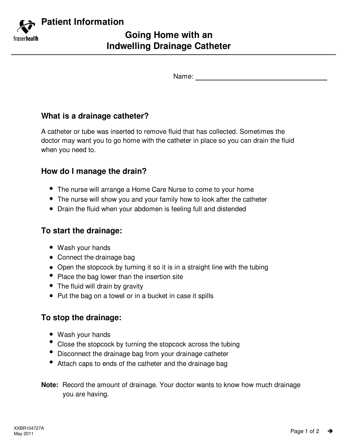

Name:

# **What is a drainage catheter?**

A catheter or tube was inserted to remove fluid that has collected. Sometimes the doctor may want you to go home with the catheter in place so you can drain the fluid when you need to.

## **How do I manage the drain?**

- The nurse will arrange a Home Care Nurse to come to your home
- The nurse will show you and your family how to look after the catheter
- Drain the fluid when your abdomen is feeling full and distended

## **To start the drainage:**

- Wash your hands
- Connect the drainage bag
- Open the stopcock by turning it so it is in a straight line with the tubing
- Place the bag lower than the insertion site
- The fluid will drain by gravity
- Put the bag on a towel or in a bucket in case it spills

## **To stop the drainage:**

- Wash your hands
- Close the stopcock by turning the stopcock across the tubing
- Disconnect the drainage bag from your drainage catheter
- Attach caps to ends of the catheter and the drainage bag
- **Note:** Record the amount of drainage. Your doctor wants to know how much drainage you are having.